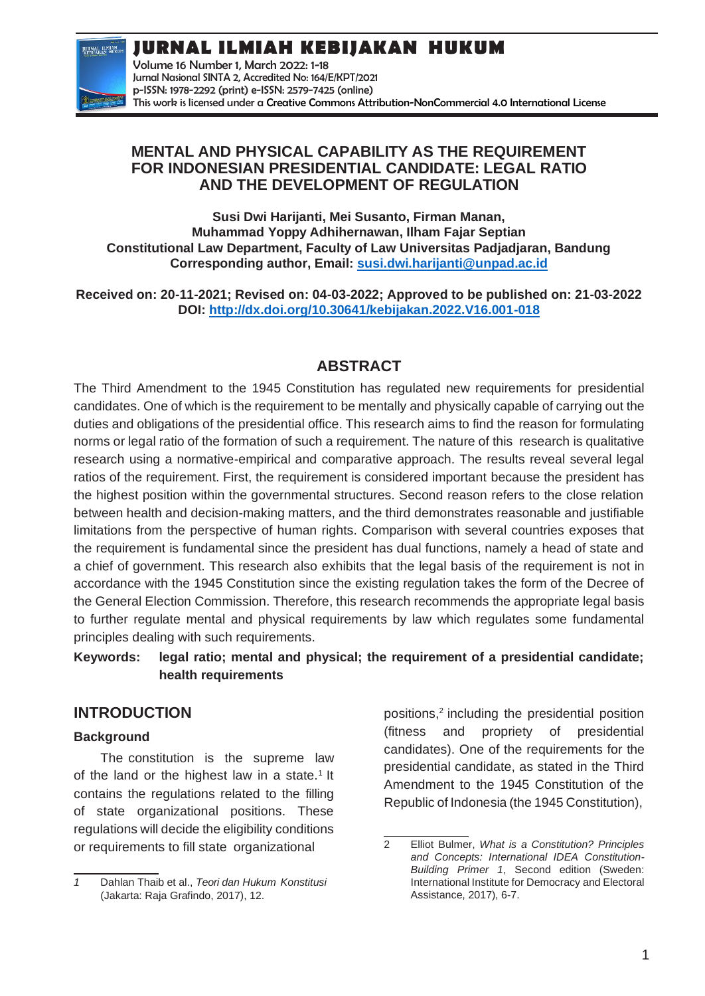# **JURNAL ILMIAH KEBIJAKAN HUKUM**



Volume 16 Number 1, March 2022: 1-18 Jurnal Nasional SINTA 2, Accredited No: 164/E/KPT/2021 p-ISSN: 1978-2292 (print) e-ISSN: 2579-7425 (online) This work is licensed under a [Creative Commons Attribution-NonCommercial 4.0 International License](https://creativecommons.org/licenses/by-nc/4.0/)

### **MENTAL AND PHYSICAL CAPABILITY AS THE REQUIREMENT FOR INDONESIAN PRESIDENTIAL CANDIDATE: LEGAL RATIO AND THE DEVELOPMENT OF REGULATION**

**Susi Dwi Harijanti, Mei Susanto, Firman Manan, Muhammad Yoppy Adhihernawan, Ilham Fajar Septian Constitutional Law Department, Faculty of Law Universitas Padjadjaran, Bandung Corresponding author, Email: [susi.dwi.harijanti@unpad.ac.id](mailto:susi.dwi.harijanti@unpad.ac.id)**

**Received on: 20-11-2021; Revised on: 04-03-2022; Approved to be published on: 21-03-2022 DOI:<http://dx.doi.org/10.30641/kebijakan.2022.V16.001-018>**

# **ABSTRACT**

The Third Amendment to the 1945 Constitution has regulated new requirements for presidential candidates. One of which is the requirement to be mentally and physically capable of carrying out the duties and obligations of the presidential office. This research aims to find the reason for formulating norms or legal ratio of the formation of such a requirement. The nature of this research is qualitative research using a normative-empirical and comparative approach. The results reveal several legal ratios of the requirement. First, the requirement is considered important because the president has the highest position within the governmental structures. Second reason refers to the close relation between health and decision-making matters, and the third demonstrates reasonable and justifiable limitations from the perspective of human rights. Comparison with several countries exposes that the requirement is fundamental since the president has dual functions, namely a head of state and a chief of government. This research also exhibits that the legal basis of the requirement is not in accordance with the 1945 Constitution since the existing regulation takes the form of the Decree of the General Election Commission. Therefore, this research recommends the appropriate legal basis to further regulate mental and physical requirements by law which regulates some fundamental principles dealing with such requirements.

### **Keywords: legal ratio; mental and physical; the requirement of a presidential candidate; health requirements**

# **INTRODUCTION**

### **Background**

The constitution is the supreme law of the land or the highest law in a state.<sup>1</sup> It contains the regulations related to the filling of state organizational positions. These regulations will decide the eligibility conditions or requirements to fill state organizational

positions,<sup>2</sup> including the presidential position (fitness and propriety of presidential candidates). One of the requirements for the presidential candidate, as stated in the Third Amendment to the 1945 Constitution of the Republic of Indonesia (the 1945 Constitution),

*<sup>1</sup>* Dahlan Thaib et al., *Teori dan Hukum Konstitusi* (Jakarta: Raja Grafindo, 2017), 12.

<sup>2</sup> Elliot Bulmer, *What is a Constitution? Principles and Concepts: International IDEA Constitution-Building Primer 1*, Second edition (Sweden: International Institute for Democracy and Electoral Assistance, 2017), 6-7.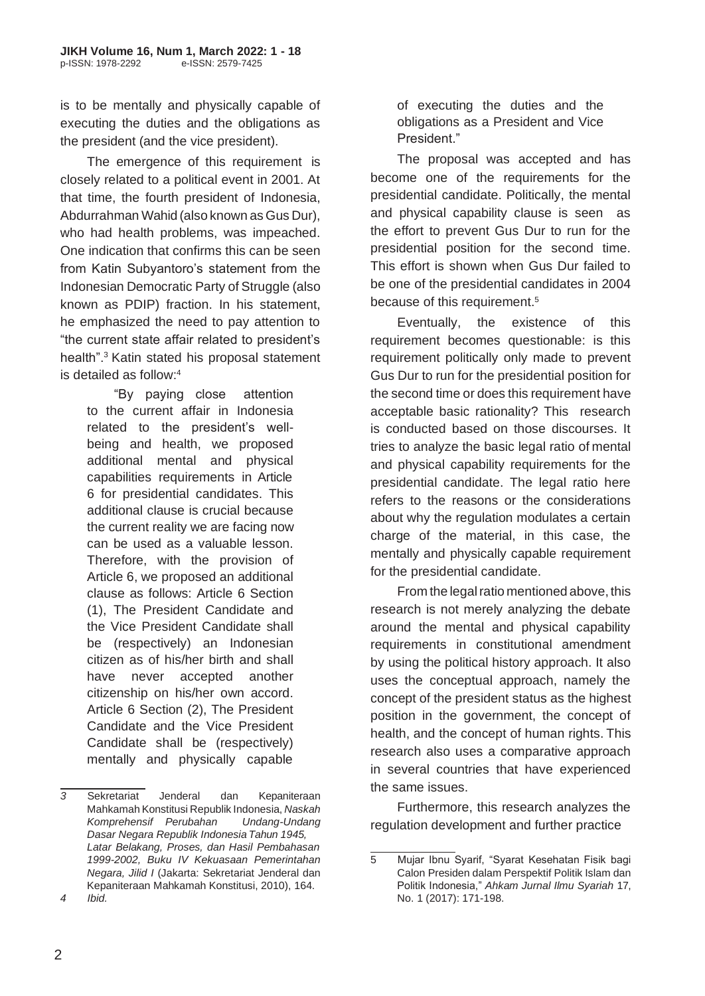is to be mentally and physically capable of executing the duties and the obligations as the president (and the vice president).

The emergence of this requirement is closely related to a political event in 2001. At that time, the fourth president of Indonesia, Abdurrahman Wahid (also known as Gus Dur), who had health problems, was impeached. One indication that confirms this can be seen from Katin Subyantoro's statement from the Indonesian Democratic Party of Struggle (also known as PDIP) fraction. In his statement, he emphasized the need to pay attention to "the current state affair related to president's health".<sup>3</sup> Katin stated his proposal statement is detailed as follow:<sup>4</sup>

> "By paying close attention to the current affair in Indonesia related to the president's wellbeing and health, we proposed additional mental and physical capabilities requirements in Article 6 for presidential candidates. This additional clause is crucial because the current reality we are facing now can be used as a valuable lesson. Therefore, with the provision of Article 6, we proposed an additional clause as follows: Article 6 Section (1), The President Candidate and the Vice President Candidate shall be (respectively) an Indonesian citizen as of his/her birth and shall have never accepted another citizenship on his/her own accord. Article 6 Section (2), The President Candidate and the Vice President Candidate shall be (respectively) mentally and physically capable

of executing the duties and the obligations as a President and Vice President."

The proposal was accepted and has become one of the requirements for the presidential candidate. Politically, the mental and physical capability clause is seen as the effort to prevent Gus Dur to run for the presidential position for the second time. This effort is shown when Gus Dur failed to be one of the presidential candidates in 2004 because of this requirement.<sup>5</sup>

Eventually, the existence of this requirement becomes questionable: is this requirement politically only made to prevent Gus Dur to run for the presidential position for the second time or does this requirement have acceptable basic rationality? This research is conducted based on those discourses. It tries to analyze the basic legal ratio of mental and physical capability requirements for the presidential candidate. The legal ratio here refers to the reasons or the considerations about why the regulation modulates a certain charge of the material, in this case, the mentally and physically capable requirement for the presidential candidate.

From the legal ratio mentioned above, this research is not merely analyzing the debate around the mental and physical capability requirements in constitutional amendment by using the political history approach. It also uses the conceptual approach, namely the concept of the president status as the highest position in the government, the concept of health, and the concept of human rights. This research also uses a comparative approach in several countries that have experienced the same issues.

Furthermore, this research analyzes the regulation development and further practice

*<sup>3</sup>* Sekretariat Jenderal dan Kepaniteraan Mahkamah Konstitusi Republik Indonesia, *Naskah Komprehensif Perubahan Undang-Undang Dasar Negara Republik Indonesia Tahun 1945, Latar Belakang, Proses, dan Hasil Pembahasan 1999-2002, Buku IV Kekuasaan Pemerintahan Negara, Jilid I* (Jakarta: Sekretariat Jenderal dan Kepaniteraan Mahkamah Konstitusi, 2010), 164. *4 Ibid.*

<sup>5</sup> Mujar Ibnu Syarif, "Syarat Kesehatan Fisik bagi Calon Presiden dalam Perspektif Politik Islam dan Politik Indonesia," *Ahkam Jurnal Ilmu Syariah* 17, No. 1 (2017): 171-198.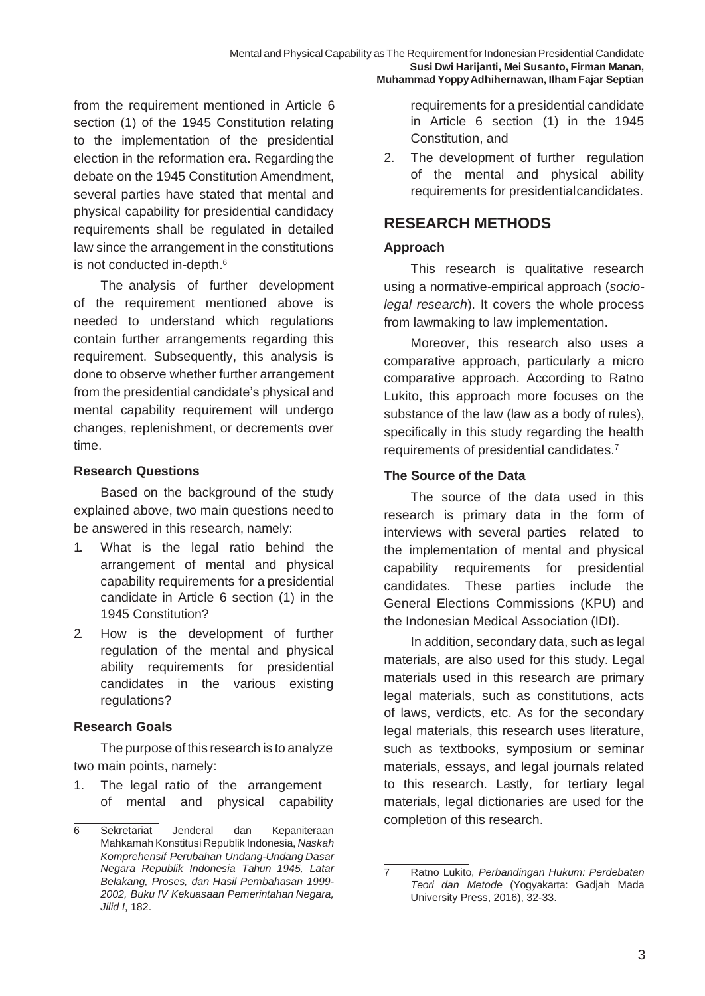from the requirement mentioned in Article 6 section (1) of the 1945 Constitution relating to the implementation of the presidential election in the reformation era. Regardingthe debate on the 1945 Constitution Amendment, several parties have stated that mental and physical capability for presidential candidacy requirements shall be regulated in detailed law since the arrangement in the constitutions is not conducted in-depth.<sup>6</sup>

The analysis of further development of the requirement mentioned above is needed to understand which regulations contain further arrangements regarding this requirement. Subsequently, this analysis is done to observe whether further arrangement from the presidential candidate's physical and mental capability requirement will undergo changes, replenishment, or decrements over time.

#### **Research Questions**

Based on the background of the study explained above, two main questions need to be answered in this research, namely:

- 1. What is the legal ratio behind the arrangement of mental and physical capability requirements for a presidential candidate in Article 6 section (1) in the 1945 Constitution?
- 2. How is the development of further regulation of the mental and physical ability requirements for presidential candidates in the various existing regulations?

### **Research Goals**

The purpose of this research is to analyze two main points, namely:

1. The legal ratio of the arrangement of mental and physical capability

requirements for a presidential candidate in Article 6 section (1) in the 1945 Constitution, and

2. The development of further regulation of the mental and physical ability requirements for presidentialcandidates.

## **RESEARCH METHODS**

### **Approach**

This research is qualitative research using a normative-empirical approach (*sociolegal research*). It covers the whole process from lawmaking to law implementation.

Moreover, this research also uses a comparative approach, particularly a micro comparative approach. According to Ratno Lukito, this approach more focuses on the substance of the law (law as a body of rules), specifically in this study regarding the health requirements of presidential candidates.<sup>7</sup>

### **The Source of the Data**

The source of the data used in this research is primary data in the form of interviews with several parties related to the implementation of mental and physical capability requirements for presidential candidates. These parties include the General Elections Commissions (KPU) and the Indonesian Medical Association (IDI).

In addition, secondary data, such as legal materials, are also used for this study. Legal materials used in this research are primary legal materials, such as constitutions, acts of laws, verdicts, etc. As for the secondary legal materials, this research uses literature, such as textbooks, symposium or seminar materials, essays, and legal journals related to this research. Lastly, for tertiary legal materials, legal dictionaries are used for the completion of this research.

<sup>6</sup> Sekretariat Jenderal dan Kepaniteraan Mahkamah Konstitusi Republik Indonesia, *Naskah Komprehensif Perubahan Undang-Undang Dasar Negara Republik Indonesia Tahun 1945, Latar Belakang, Proses, dan Hasil Pembahasan 1999- 2002, Buku IV Kekuasaan Pemerintahan Negara, Jilid I*, 182.

<sup>7</sup> Ratno Lukito, *Perbandingan Hukum: Perdebatan Teori dan Metode* (Yogyakarta: Gadjah Mada University Press, 2016), 32-33.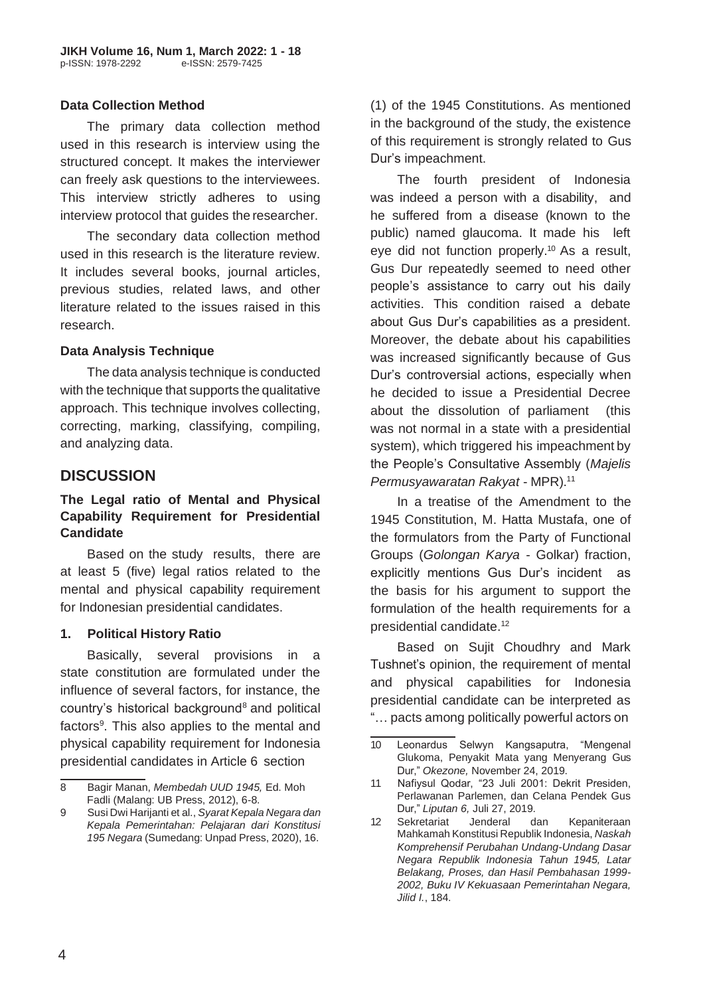#### **Data Collection Method**

The primary data collection method used in this research is interview using the structured concept. It makes the interviewer can freely ask questions to the interviewees. This interview strictly adheres to using interview protocol that guides the researcher.

The secondary data collection method used in this research is the literature review. It includes several books, journal articles, previous studies, related laws, and other literature related to the issues raised in this research.

#### **Data Analysis Technique**

The data analysis technique is conducted with the technique that supports the qualitative approach. This technique involves collecting, correcting, marking, classifying, compiling, and analyzing data.

## **DISCUSSION**

#### **The Legal ratio of Mental and Physical Capability Requirement for Presidential Candidate**

Based on the study results, there are at least 5 (five) legal ratios related to the mental and physical capability requirement for Indonesian presidential candidates.

### **1. Political History Ratio**

Basically, several provisions in a state constitution are formulated under the influence of several factors, for instance, the country's historical background<sup>8</sup> and political factors<sup>9</sup>. This also applies to the mental and physical capability requirement for Indonesia presidential candidates in Article 6 section

(1) of the 1945 Constitutions. As mentioned in the background of the study, the existence of this requirement is strongly related to Gus Dur's impeachment.

The fourth president of Indonesia was indeed a person with a disability, and he suffered from a disease (known to the public) named glaucoma. It made his left eye did not function properly.<sup>10</sup> As a result, Gus Dur repeatedly seemed to need other people's assistance to carry out his daily activities. This condition raised a debate about Gus Dur's capabilities as a president. Moreover, the debate about his capabilities was increased significantly because of Gus Dur's controversial actions, especially when he decided to issue a Presidential Decree about the dissolution of parliament (this was not normal in a state with a presidential system), which triggered his impeachment by the People's Consultative Assembly (*Majelis Permusyawaratan Rakyat* - MPR).<sup>11</sup>

In a treatise of the Amendment to the 1945 Constitution, M. Hatta Mustafa, one of the formulators from the Party of Functional Groups (*Golongan Karya* - Golkar) fraction, explicitly mentions Gus Dur's incident as the basis for his argument to support the formulation of the health requirements for a presidential candidate.<sup>12</sup>

Based on Sujit Choudhry and Mark Tushnet's opinion, the requirement of mental and physical capabilities for Indonesia presidential candidate can be interpreted as "… pacts among politically powerful actors on

<sup>8</sup> Bagir Manan, *Membedah UUD 1945,* Ed. Moh Fadli (Malang: UB Press, 2012), 6-8.

<sup>9</sup> Susi Dwi Harijanti et al., *Syarat Kepala Negara dan Kepala Pemerintahan: Pelajaran dari Konstitusi 195 Negara* (Sumedang: Unpad Press, 2020), 16.

<sup>10</sup> Leonardus Selwyn Kangsaputra, "Mengenal Glukoma, Penyakit Mata yang Menyerang Gus Dur," *Okezone,* November 24, 2019.

<sup>11</sup> Nafiysul Qodar, "23 Juli 2001: Dekrit Presiden, Perlawanan Parlemen, dan Celana Pendek Gus Dur," *Liputan 6,* Juli 27, 2019.

<sup>12</sup> Sekretariat Jenderal dan Kepaniteraan Mahkamah Konstitusi Republik Indonesia, *Naskah Komprehensif Perubahan Undang-Undang Dasar Negara Republik Indonesia Tahun 1945, Latar Belakang, Proses, dan Hasil Pembahasan 1999- 2002, Buku IV Kekuasaan Pemerintahan Negara, Jilid I.*, 184.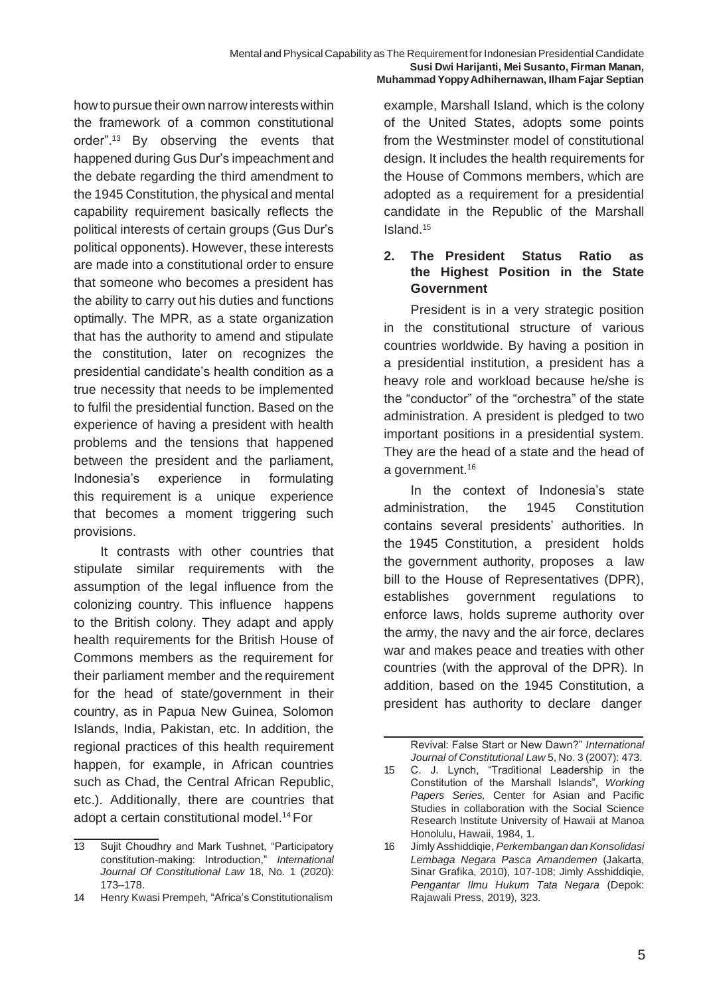how to pursue their own narrow interests within the framework of a common constitutional order".<sup>13</sup> By observing the events that happened during Gus Dur's impeachment and the debate regarding the third amendment to the 1945 Constitution, the physical and mental capability requirement basically reflects the political interests of certain groups (Gus Dur's political opponents). However, these interests are made into a constitutional order to ensure that someone who becomes a president has the ability to carry out his duties and functions optimally. The MPR, as a state organization that has the authority to amend and stipulate the constitution, later on recognizes the presidential candidate's health condition as a true necessity that needs to be implemented to fulfil the presidential function. Based on the experience of having a president with health problems and the tensions that happened between the president and the parliament, Indonesia's experience in formulating this requirement is a unique experience that becomes a moment triggering such provisions.

It contrasts with other countries that stipulate similar requirements with the assumption of the legal influence from the colonizing country. This influence happens to the British colony. They adapt and apply health requirements for the British House of Commons members as the requirement for their parliament member and the requirement for the head of state/government in their country, as in Papua New Guinea, Solomon Islands, India, Pakistan, etc. In addition, the regional practices of this health requirement happen, for example, in African countries such as Chad, the Central African Republic, etc.). Additionally, there are countries that adopt a certain constitutional model.<sup>14</sup> For

example, Marshall Island, which is the colony of the United States, adopts some points from the Westminster model of constitutional design. It includes the health requirements for the House of Commons members, which are adopted as a requirement for a presidential candidate in the Republic of the Marshall Island.<sup>15</sup>

### **2. The President Status Ratio as the Highest Position in the State Government**

President is in a very strategic position in the constitutional structure of various countries worldwide. By having a position in a presidential institution, a president has a heavy role and workload because he/she is the "conductor" of the "orchestra" of the state administration. A president is pledged to two important positions in a presidential system. They are the head of a state and the head of a government.<sup>16</sup>

In the context of Indonesia's state administration, the 1945 Constitution contains several presidents' authorities. In the 1945 Constitution, a president holds the government authority, proposes a law bill to the House of Representatives (DPR), establishes government regulations to enforce laws, holds supreme authority over the army, the navy and the air force, declares war and makes peace and treaties with other countries (with the approval of the DPR). In addition, based on the 1945 Constitution, a president has authority to declare danger

<sup>13</sup> Sujit Choudhry and Mark Tushnet, "Participatory constitution-making: Introduction," *International Journal Of Constitutional Law* 18, No. 1 (2020): 173–178.

<sup>14</sup> Henry Kwasi Prempeh, "Africa's Constitutionalism

Revival: False Start or New Dawn?" *International Journal of Constitutional Law* 5, No. 3 (2007): 473.

<sup>15</sup> C. J. Lynch, "Traditional Leadership in the Constitution of the Marshall Islands", *Working Papers Series,* Center for Asian and Pacific Studies in collaboration with the Social Science Research Institute University of Hawaii at Manoa Honolulu, Hawaii, 1984, 1.

<sup>16</sup> JimlyAsshiddiqie, *Perkembangan dan Konsolidasi Lembaga Negara Pasca Amandemen* (Jakarta, Sinar Grafika, 2010), 107-108; Jimly Asshiddiqie, *Pengantar Ilmu Hukum Tata Negara* (Depok: Rajawali Press, 2019), 323.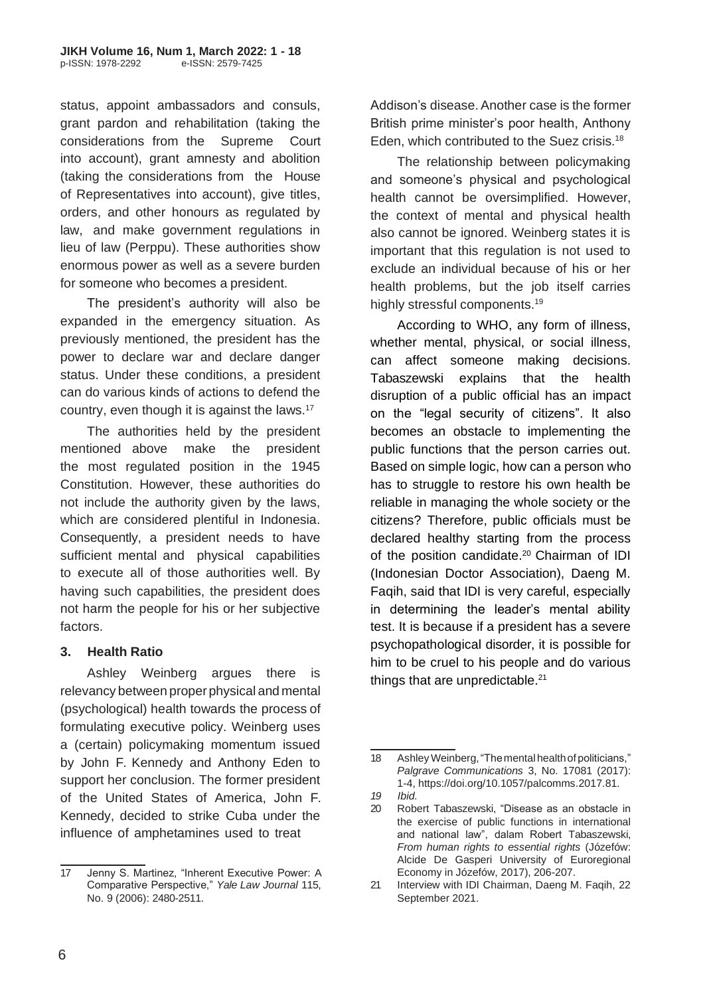status, appoint ambassadors and consuls, grant pardon and rehabilitation (taking the considerations from the Supreme Court into account), grant amnesty and abolition (taking the considerations from the House of Representatives into account), give titles, orders, and other honours as regulated by law, and make government regulations in lieu of law (Perppu). These authorities show enormous power as well as a severe burden for someone who becomes a president.

The president's authority will also be expanded in the emergency situation. As previously mentioned, the president has the power to declare war and declare danger status. Under these conditions, a president can do various kinds of actions to defend the country, even though it is against the laws.<sup>17</sup>

The authorities held by the president mentioned above make the president the most regulated position in the 1945 Constitution. However, these authorities do not include the authority given by the laws, which are considered plentiful in Indonesia. Consequently, a president needs to have sufficient mental and physical capabilities to execute all of those authorities well. By having such capabilities, the president does not harm the people for his or her subjective factors.

### **3. Health Ratio**

Ashley Weinberg argues there is relevancy between proper physical and mental (psychological) health towards the process of formulating executive policy. Weinberg uses a (certain) policymaking momentum issued by John F. Kennedy and Anthony Eden to support her conclusion. The former president of the United States of America, John F. Kennedy, decided to strike Cuba under the influence of amphetamines used to treat

Addison's disease.Another case is the former British prime minister's poor health, Anthony Eden, which contributed to the Suez crisis.<sup>18</sup>

The relationship between policymaking and someone's physical and psychological health cannot be oversimplified. However, the context of mental and physical health also cannot be ignored. Weinberg states it is important that this regulation is not used to exclude an individual because of his or her health problems, but the job itself carries highly stressful components.<sup>19</sup>

According to WHO, any form of illness, whether mental, physical, or social illness, can affect someone making decisions. Tabaszewski explains that the health disruption of a public official has an impact on the "legal security of citizens". It also becomes an obstacle to implementing the public functions that the person carries out. Based on simple logic, how can a person who has to struggle to restore his own health be reliable in managing the whole society or the citizens? Therefore, public officials must be declared healthy starting from the process of the position candidate.<sup>20</sup> Chairman of IDI (Indonesian Doctor Association), Daeng M. Faqih, said that IDI is very careful, especially in determining the leader's mental ability test. It is because if a president has a severe psychopathological disorder, it is possible for him to be cruel to his people and do various things that are unpredictable.<sup>21</sup>

<sup>17</sup> Jenny S. Martinez, "Inherent Executive Power: A Comparative Perspective," *Yale Law Journal* 115, No. 9 (2006): 2480-2511.

<sup>18</sup> Ashley Weinberg, "The mental health of politicians," *Palgrave Communications* 3, No. 17081 (2017): 1-4, https://doi.org/10.1057/palcomms.2017.81.

*<sup>19</sup> Ibid.*

<sup>20</sup> Robert Tabaszewski, "Disease as an obstacle in the exercise of public functions in international and national law", dalam Robert Tabaszewski, *From human rights to essential rights* (Józefów: Alcide De Gasperi University of Euroregional Economy in Józefów, 2017), 206-207.

<sup>21</sup> Interview with IDI Chairman, Daeng M. Faqih, 22 September 2021.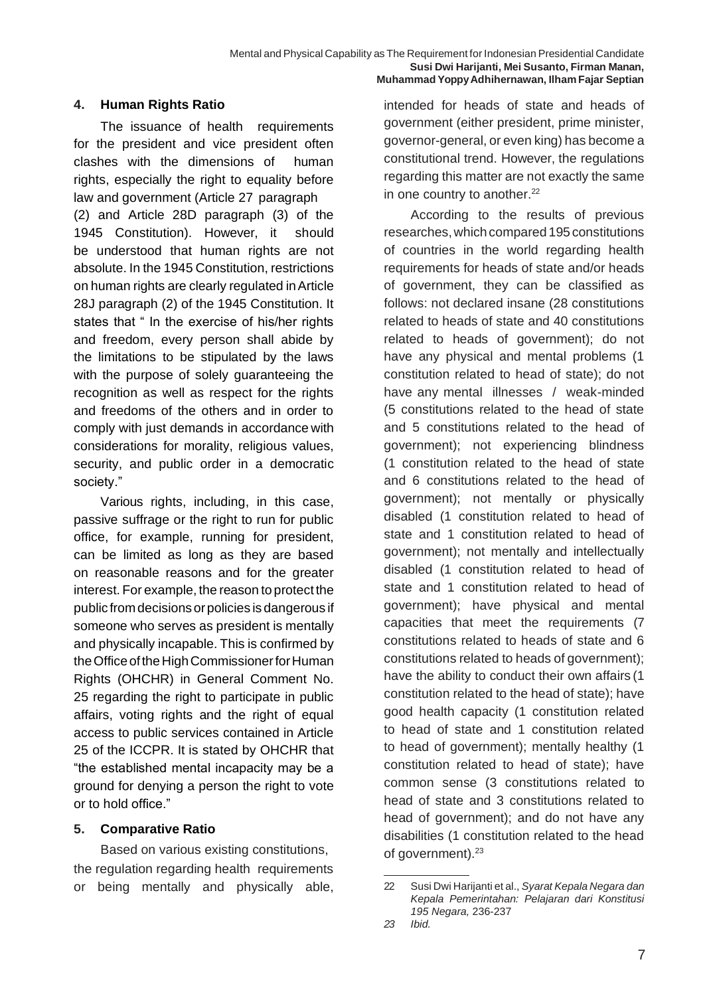### **4. Human Rights Ratio**

The issuance of health requirements for the president and vice president often clashes with the dimensions of human rights, especially the right to equality before law and government (Article 27 paragraph (2) and Article 28D paragraph (3) of the 1945 Constitution). However, it should be understood that human rights are not absolute. In the 1945 Constitution, restrictions on human rights are clearly regulated inArticle 28J paragraph (2) of the 1945 Constitution. It states that " In the exercise of his/her rights and freedom, every person shall abide by the limitations to be stipulated by the laws with the purpose of solely quaranteeing the recognition as well as respect for the rights and freedoms of the others and in order to comply with just demands in accordance with considerations for morality, religious values, security, and public order in a democratic society."

Various rights, including, in this case, passive suffrage or the right to run for public office, for example, running for president, can be limited as long as they are based on reasonable reasons and for the greater interest. For example, the reason to protect the public fromdecisions orpolicies is dangerous if someone who serves as president is mentally and physically incapable. This is confirmed by the Office of the High Commissioner for Human Rights (OHCHR) in General Comment No. 25 regarding the right to participate in public affairs, voting rights and the right of equal access to public services contained in Article 25 of the ICCPR. It is stated by OHCHR that "the established mental incapacity may be a ground for denying a person the right to vote or to hold office."

### **5. Comparative Ratio**

Based on various existing constitutions, the regulation regarding health requirements or being mentally and physically able, 22 Susi Dwi Harijanti et al., *Syarat Kepala Negara dan* 

intended for heads of state and heads of government (either president, prime minister, governor-general, or even king) has become a constitutional trend. However, the regulations regarding this matter are not exactly the same in one country to another.<sup>22</sup>

According to the results of previous researches, which compared 195 constitutions of countries in the world regarding health requirements for heads of state and/or heads of government, they can be classified as follows: not declared insane (28 constitutions related to heads of state and 40 constitutions related to heads of government); do not have any physical and mental problems (1 constitution related to head of state); do not have any mental illnesses / weak-minded (5 constitutions related to the head of state and 5 constitutions related to the head of government); not experiencing blindness (1 constitution related to the head of state and 6 constitutions related to the head of government); not mentally or physically disabled (1 constitution related to head of state and 1 constitution related to head of government); not mentally and intellectually disabled (1 constitution related to head of state and 1 constitution related to head of government); have physical and mental capacities that meet the requirements (7 constitutions related to heads of state and 6 constitutions related to heads of government); have the ability to conduct their own affairs (1 constitution related to the head of state); have good health capacity (1 constitution related to head of state and 1 constitution related to head of government); mentally healthy (1 constitution related to head of state); have common sense (3 constitutions related to head of state and 3 constitutions related to head of government); and do not have any disabilities (1 constitution related to the head of government).<sup>23</sup>

*Kepala Pemerintahan: Pelajaran dari Konstitusi 195 Negara,* 236-237

*<sup>23</sup> Ibid.*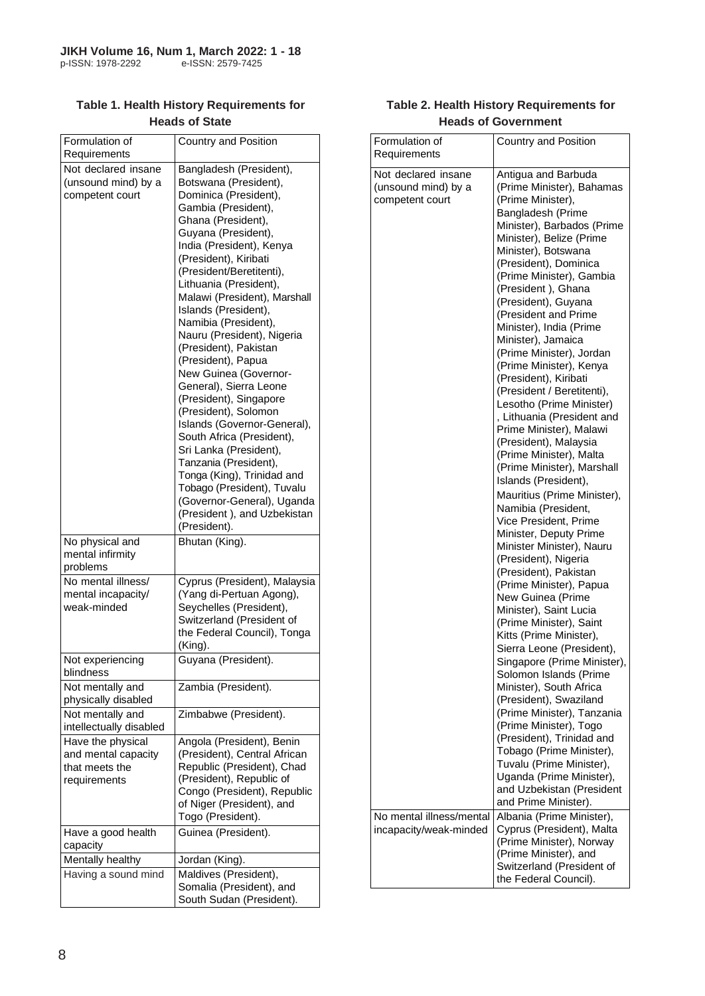| Formulation of<br>Requirements                                             | <b>Country and Position</b>                                                                                                                                                                                                                                                                                                                                                                                                                                                                                                                                                                                                                                                                                                                                                        |
|----------------------------------------------------------------------------|------------------------------------------------------------------------------------------------------------------------------------------------------------------------------------------------------------------------------------------------------------------------------------------------------------------------------------------------------------------------------------------------------------------------------------------------------------------------------------------------------------------------------------------------------------------------------------------------------------------------------------------------------------------------------------------------------------------------------------------------------------------------------------|
| Not declared insane<br>(unsound mind) by a<br>competent court              | Bangladesh (President),<br>Botswana (President),<br>Dominica (President),<br>Gambia (President),<br>Ghana (President),<br>Guyana (President),<br>India (President), Kenya<br>(President), Kiribati<br>(President/Beretitenti),<br>Lithuania (President),<br>Malawi (President), Marshall<br>Islands (President),<br>Namibia (President),<br>Nauru (President), Nigeria<br>(President), Pakistan<br>(President), Papua<br>New Guinea (Governor-<br>General), Sierra Leone<br>(President), Singapore<br>(President), Solomon<br>Islands (Governor-General),<br>South Africa (President),<br>Sri Lanka (President),<br>Tanzania (President),<br>Tonga (King), Trinidad and<br>Tobago (President), Tuvalu<br>(Governor-General), Uganda<br>(President), and Uzbekistan<br>(President). |
| No physical and<br>mental infirmity<br>problems                            | Bhutan (King).                                                                                                                                                                                                                                                                                                                                                                                                                                                                                                                                                                                                                                                                                                                                                                     |
| No mental illness/<br>mental incapacity/<br>weak-minded                    | Cyprus (President), Malaysia<br>(Yang di-Pertuan Agong),<br>Seychelles (President),<br>Switzerland (President of<br>the Federal Council), Tonga<br>(King).                                                                                                                                                                                                                                                                                                                                                                                                                                                                                                                                                                                                                         |
| Not experiencing<br>blindness                                              | Guyana (President).                                                                                                                                                                                                                                                                                                                                                                                                                                                                                                                                                                                                                                                                                                                                                                |
| Not mentally and<br>physically disabled                                    | Zambia (President).                                                                                                                                                                                                                                                                                                                                                                                                                                                                                                                                                                                                                                                                                                                                                                |
| Not mentally and<br>intellectually disabled                                | Zimbabwe (President).                                                                                                                                                                                                                                                                                                                                                                                                                                                                                                                                                                                                                                                                                                                                                              |
| Have the physical<br>and mental capacity<br>that meets the<br>requirements | Angola (President), Benin<br>(President), Central African<br>Republic (President), Chad<br>(President), Republic of<br>Congo (President), Republic<br>of Niger (President), and<br>Togo (President).                                                                                                                                                                                                                                                                                                                                                                                                                                                                                                                                                                               |
| Have a good health<br>capacity                                             | Guinea (President).                                                                                                                                                                                                                                                                                                                                                                                                                                                                                                                                                                                                                                                                                                                                                                |
| Mentally healthy                                                           | Jordan (King).                                                                                                                                                                                                                                                                                                                                                                                                                                                                                                                                                                                                                                                                                                                                                                     |
| Having a sound mind                                                        | Maldives (President),<br>Somalia (President), and<br>South Sudan (President).                                                                                                                                                                                                                                                                                                                                                                                                                                                                                                                                                                                                                                                                                                      |

#### **Table 1. Health History Requirements for Heads of State**

#### **Table 2. Health History Requirements for Heads of Government**

| Formulation of<br>Requirements                                                            | Country and Position                                                                                                                                                                                                                                                                                                                                                                                                                                                                                                                                                                                                                                                                                                                                                                                                                                                                                                                                                                                                                                                                                                                                                                                                                                                                                                                                                                             |
|-------------------------------------------------------------------------------------------|--------------------------------------------------------------------------------------------------------------------------------------------------------------------------------------------------------------------------------------------------------------------------------------------------------------------------------------------------------------------------------------------------------------------------------------------------------------------------------------------------------------------------------------------------------------------------------------------------------------------------------------------------------------------------------------------------------------------------------------------------------------------------------------------------------------------------------------------------------------------------------------------------------------------------------------------------------------------------------------------------------------------------------------------------------------------------------------------------------------------------------------------------------------------------------------------------------------------------------------------------------------------------------------------------------------------------------------------------------------------------------------------------|
| Not declared insane<br>(unsound mind) by a<br>competent court<br>No mental illness/mental | Antigua and Barbuda<br>(Prime Minister), Bahamas<br>(Prime Minister),<br>Bangladesh (Prime<br>Minister), Barbados (Prime<br>Minister), Belize (Prime<br>Minister), Botswana<br>(President), Dominica<br>(Prime Minister), Gambia<br>(President), Ghana<br>(President), Guyana<br>(President and Prime<br>Minister), India (Prime<br>Minister), Jamaica<br>(Prime Minister), Jordan<br>(Prime Minister), Kenya<br>(President), Kiribati<br>(President / Beretitenti),<br>Lesotho (Prime Minister)<br>, Lithuania (President and<br>Prime Minister), Malawi<br>(President), Malaysia<br>(Prime Minister), Malta<br>(Prime Minister), Marshall<br>Islands (President),<br>Mauritius (Prime Minister),<br>Namibia (President,<br>Vice President, Prime<br>Minister, Deputy Prime<br>Minister Minister), Nauru<br>(President), Nigeria<br>(President), Pakistan<br>(Prime Minister), Papua<br>New Guinea (Prime<br>Minister), Saint Lucia<br>(Prime Minister), Saint<br>Kitts (Prime Minister),<br>Sierra Leone (President),<br>Singapore (Prime Minister),<br>Solomon Islands (Prime<br>Minister), South Africa<br>(President), Swaziland<br>(Prime Minister), Tanzania<br>(Prime Minister), Togo<br>(President), Trinidad and<br>Tobago (Prime Minister),<br>Tuvalu (Prime Minister),<br>Uganda (Prime Minister),<br>and Uzbekistan (President<br>and Prime Minister).<br>Albania (Prime Minister), |
| incapacity/weak-minded                                                                    | Cyprus (President), Malta<br>(Prime Minister), Norway<br>(Prime Minister), and<br>Switzerland (President of<br>the Federal Council).                                                                                                                                                                                                                                                                                                                                                                                                                                                                                                                                                                                                                                                                                                                                                                                                                                                                                                                                                                                                                                                                                                                                                                                                                                                             |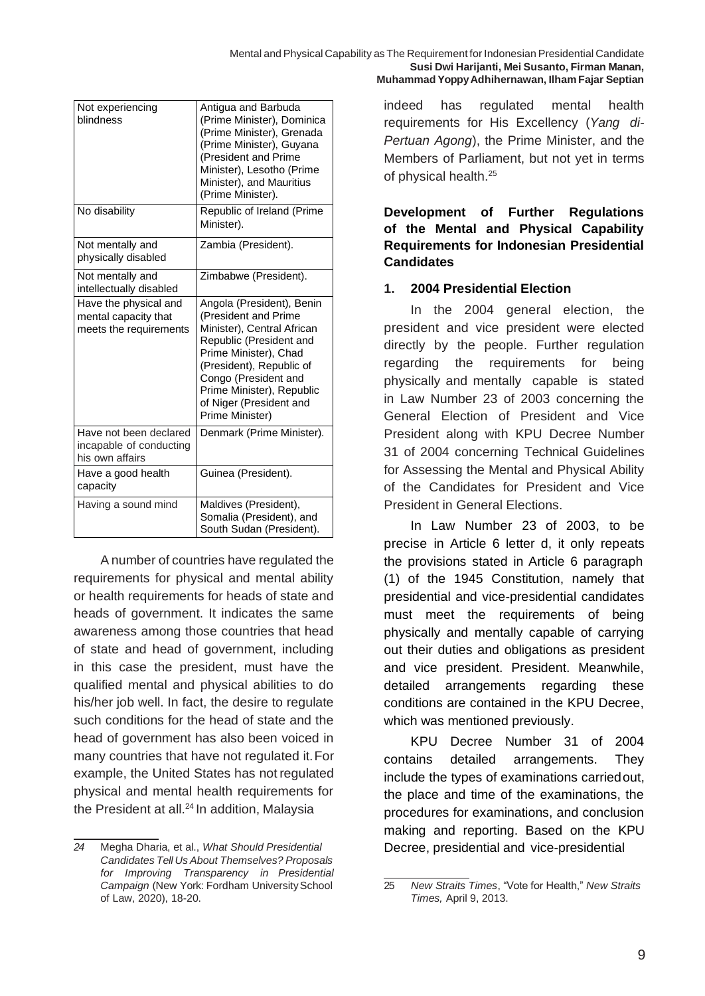| indeed has regulated mental health          |  |  |  |  |  |  |  |
|---------------------------------------------|--|--|--|--|--|--|--|
| requirements for His Excellency (Yang di-   |  |  |  |  |  |  |  |
| Pertuan Agong), the Prime Minister, and the |  |  |  |  |  |  |  |
| Members of Parliament, but not yet in terms |  |  |  |  |  |  |  |
| of physical health. <sup>25</sup>           |  |  |  |  |  |  |  |
|                                             |  |  |  |  |  |  |  |

**Development of Further Regulations of the Mental and Physical Capability Requirements for Indonesian Presidential Candidates**

#### **1. 2004 Presidential Election**

In the 2004 general election, the president and vice president were elected directly by the people. Further regulation regarding the requirements for being physically and mentally capable is stated in Law Number 23 of 2003 concerning the General Election of President and Vice President along with KPU Decree Number 31 of 2004 concerning Technical Guidelines for Assessing the Mental and Physical Ability of the Candidates for President and Vice President in General Elections.

In Law Number 23 of 2003, to be precise in Article 6 letter d, it only repeats the provisions stated in Article 6 paragraph (1) of the 1945 Constitution, namely that presidential and vice-presidential candidates must meet the requirements of being physically and mentally capable of carrying out their duties and obligations as president and vice president. President. Meanwhile, detailed arrangements regarding these conditions are contained in the KPU Decree, which was mentioned previously.

KPU Decree Number 31 of 2004 contains detailed arrangements. They include the types of examinations carriedout, the place and time of the examinations, the procedures for examinations, and conclusion making and reporting. Based on the KPU Decree, presidential and vice-presidential

| Not experiencing<br>blindness                                           | Antigua and Barbuda<br>(Prime Minister), Dominica<br>(Prime Minister), Grenada<br>(Prime Minister), Guyana<br>(President and Prime<br>Minister), Lesotho (Prime<br>Minister), and Mauritius<br>(Prime Minister).                                                   |
|-------------------------------------------------------------------------|--------------------------------------------------------------------------------------------------------------------------------------------------------------------------------------------------------------------------------------------------------------------|
| No disability                                                           | Republic of Ireland (Prime<br>Minister).                                                                                                                                                                                                                           |
| Not mentally and<br>physically disabled                                 | Zambia (President).                                                                                                                                                                                                                                                |
| Not mentally and<br>intellectually disabled                             | Zimbabwe (President).                                                                                                                                                                                                                                              |
| Have the physical and<br>mental capacity that<br>meets the requirements | Angola (President), Benin<br>(President and Prime<br>Minister), Central African<br>Republic (President and<br>Prime Minister), Chad<br>(President), Republic of<br>Congo (President and<br>Prime Minister), Republic<br>of Niger (President and<br>Prime Minister) |
| Have not been declared<br>incapable of conducting<br>his own affairs    | Denmark (Prime Minister).                                                                                                                                                                                                                                          |
| Have a good health<br>capacity                                          | Guinea (President).                                                                                                                                                                                                                                                |
| Having a sound mind                                                     | Maldives (President),<br>Somalia (President), and<br>South Sudan (President).                                                                                                                                                                                      |

A number of countries have regulated the requirements for physical and mental ability or health requirements for heads of state and heads of government. It indicates the same awareness among those countries that head of state and head of government, including in this case the president, must have the qualified mental and physical abilities to do his/her job well. In fact, the desire to regulate such conditions for the head of state and the head of government has also been voiced in many countries that have not regulated it.For example, the United States has not regulated physical and mental health requirements for the President at all.<sup>24</sup> In addition, Malaysia

<sup>25</sup> *New Straits Times*, "Vote for Health," *New Straits Times,* April 9, 2013.

*<sup>24</sup>* Megha Dharia, et al., *What Should Presidential Candidates Tell Us About Themselves? Proposals for Improving Transparency in Presidential* Campaign (New York: Fordham University School of Law, 2020), 18-20.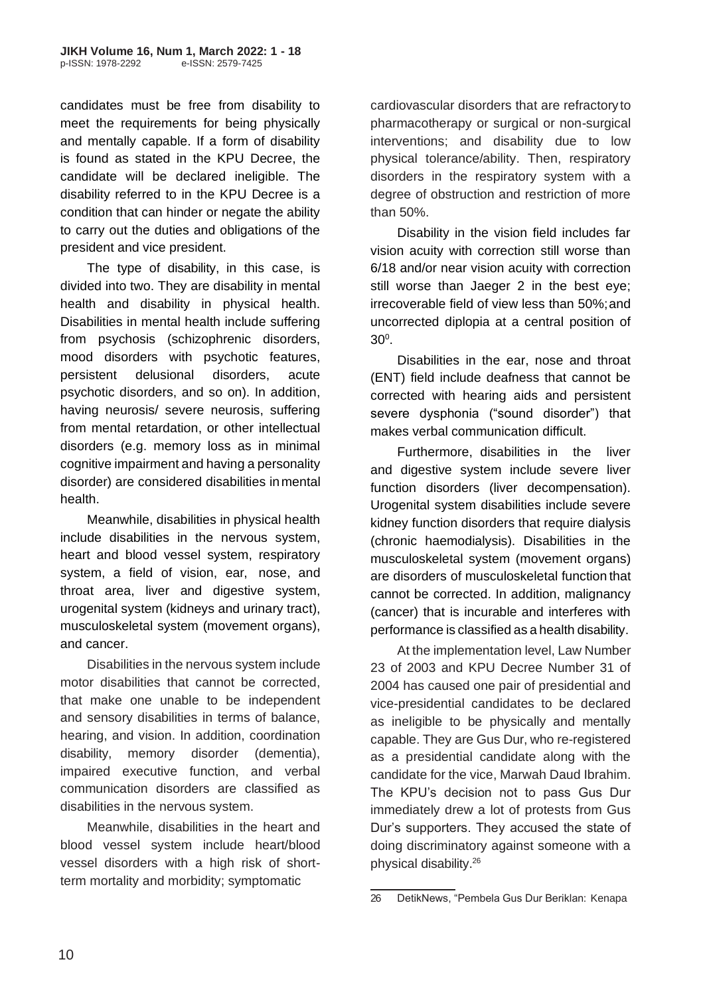candidates must be free from disability to meet the requirements for being physically and mentally capable. If a form of disability is found as stated in the KPU Decree, the candidate will be declared ineligible. The disability referred to in the KPU Decree is a condition that can hinder or negate the ability to carry out the duties and obligations of the president and vice president.

The type of disability, in this case, is divided into two. They are disability in mental health and disability in physical health. Disabilities in mental health include suffering from psychosis (schizophrenic disorders, mood disorders with psychotic features, persistent delusional disorders, acute psychotic disorders, and so on). In addition, having neurosis/ severe neurosis, suffering from mental retardation, or other intellectual disorders (e.g. memory loss as in minimal cognitive impairment and having a personality disorder) are considered disabilities inmental health.

Meanwhile, disabilities in physical health include disabilities in the nervous system, heart and blood vessel system, respiratory system, a field of vision, ear, nose, and throat area, liver and digestive system, urogenital system (kidneys and urinary tract), musculoskeletal system (movement organs), and cancer.

Disabilities in the nervous system include motor disabilities that cannot be corrected, that make one unable to be independent and sensory disabilities in terms of balance, hearing, and vision. In addition, coordination disability, memory disorder (dementia), impaired executive function, and verbal communication disorders are classified as disabilities in the nervous system.

Meanwhile, disabilities in the heart and blood vessel system include heart/blood vessel disorders with a high risk of shortterm mortality and morbidity; symptomatic

cardiovascular disorders that are refractory to pharmacotherapy or surgical or non-surgical interventions; and disability due to low physical tolerance/ability. Then, respiratory disorders in the respiratory system with a degree of obstruction and restriction of more than 50%.

Disability in the vision field includes far vision acuity with correction still worse than 6/18 and/or near vision acuity with correction still worse than Jaeger 2 in the best eye; irrecoverable field of view less than 50%;and uncorrected diplopia at a central position of  $30^{\circ}$ .

Disabilities in the ear, nose and throat (ENT) field include deafness that cannot be corrected with hearing aids and persistent severe dysphonia ("sound disorder") that makes verbal communication difficult.

Furthermore, disabilities in the liver and digestive system include severe liver function disorders (liver decompensation). Urogenital system disabilities include severe kidney function disorders that require dialysis (chronic haemodialysis). Disabilities in the musculoskeletal system (movement organs) are disorders of musculoskeletal function that cannot be corrected. In addition, malignancy (cancer) that is incurable and interferes with performance is classified as a health disability.

At the implementation level, Law Number 23 of 2003 and KPU Decree Number 31 of 2004 has caused one pair of presidential and vice-presidential candidates to be declared as ineligible to be physically and mentally capable. They are Gus Dur, who re-registered as a presidential candidate along with the candidate for the vice, Marwah Daud Ibrahim. The KPU's decision not to pass Gus Dur immediately drew a lot of protests from Gus Dur's supporters. They accused the state of doing discriminatory against someone with a physical disability.<sup>26</sup>

<sup>26</sup> DetikNews, "Pembela Gus Dur Beriklan: Kenapa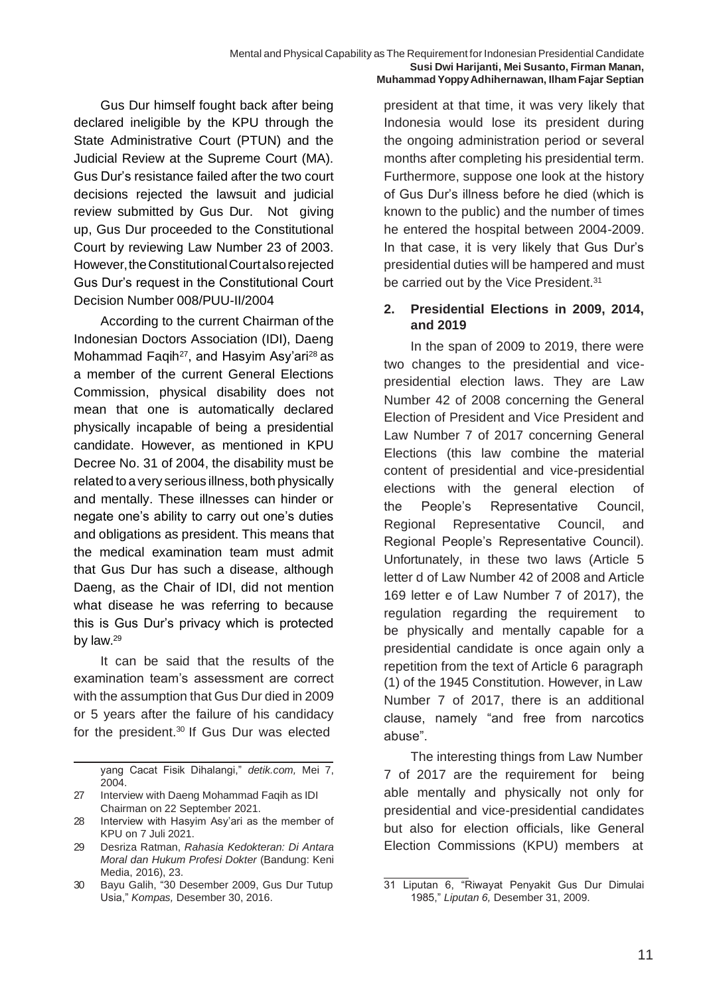Gus Dur himself fought back after being declared ineligible by the KPU through the State Administrative Court (PTUN) and the Judicial Review at the Supreme Court (MA). Gus Dur's resistance failed after the two court decisions rejected the lawsuit and judicial review submitted by Gus Dur. Not giving up, Gus Dur proceeded to the Constitutional Court by reviewing Law Number 23 of 2003. However,theConstitutionalCourtalsorejected Gus Dur's request in the Constitutional Court Decision Number 008/PUU-II/2004

According to the current Chairman of the Indonesian Doctors Association (IDI), Daeng Mohammad Faqih<sup>27</sup>, and Hasyim Asy'ari<sup>28</sup> as a member of the current General Elections Commission, physical disability does not mean that one is automatically declared physically incapable of being a presidential candidate. However, as mentioned in KPU Decree No. 31 of 2004, the disability must be related to a very serious illness, both physically and mentally. These illnesses can hinder or negate one's ability to carry out one's duties and obligations as president. This means that the medical examination team must admit that Gus Dur has such a disease, although Daeng, as the Chair of IDI, did not mention what disease he was referring to because this is Gus Dur's privacy which is protected by law.<sup>29</sup>

It can be said that the results of the examination team's assessment are correct with the assumption that Gus Dur died in 2009 or 5 years after the failure of his candidacy for the president.<sup>30</sup> If Gus Dur was elected

president at that time, it was very likely that Indonesia would lose its president during the ongoing administration period or several months after completing his presidential term. Furthermore, suppose one look at the history of Gus Dur's illness before he died (which is known to the public) and the number of times he entered the hospital between 2004-2009. In that case, it is very likely that Gus Dur's presidential duties will be hampered and must be carried out by the Vice President.<sup>31</sup>

#### **2. Presidential Elections in 2009, 2014, and 2019**

In the span of 2009 to 2019, there were two changes to the presidential and vicepresidential election laws. They are Law Number 42 of 2008 concerning the General Election of President and Vice President and Law Number 7 of 2017 concerning General Elections (this law combine the material content of presidential and vice-presidential elections with the general election of the People's Representative Council, Regional Representative Council, and Regional People's Representative Council). Unfortunately, in these two laws (Article 5 letter d of Law Number 42 of 2008 and Article 169 letter e of Law Number 7 of 2017), the regulation regarding the requirement to be physically and mentally capable for a presidential candidate is once again only a repetition from the text of Article 6 paragraph (1) of the 1945 Constitution. However, in Law Number 7 of 2017, there is an additional clause, namely "and free from narcotics abuse".

The interesting things from Law Number 7 of 2017 are the requirement for being able mentally and physically not only for presidential and vice-presidential candidates but also for election officials, like General Election Commissions (KPU) members at

yang Cacat Fisik Dihalangi," *detik.com,* Mei 7, 2004.

<sup>27</sup> Interview with Daeng Mohammad Faqih as IDI Chairman on 22 September 2021.

<sup>28</sup> Interview with Hasyim Asy'ari as the member of KPU on 7 Juli 2021.

<sup>29</sup> Desriza Ratman, *Rahasia Kedokteran: Di Antara Moral dan Hukum Profesi Dokter* (Bandung: Keni Media, 2016), 23.

<sup>30</sup> Bayu Galih, "30 Desember 2009, Gus Dur Tutup Usia," *Kompas,* Desember 30, 2016.

<sup>31</sup> Liputan 6, "Riwayat Penyakit Gus Dur Dimulai 1985," *Liputan 6,* Desember 31, 2009.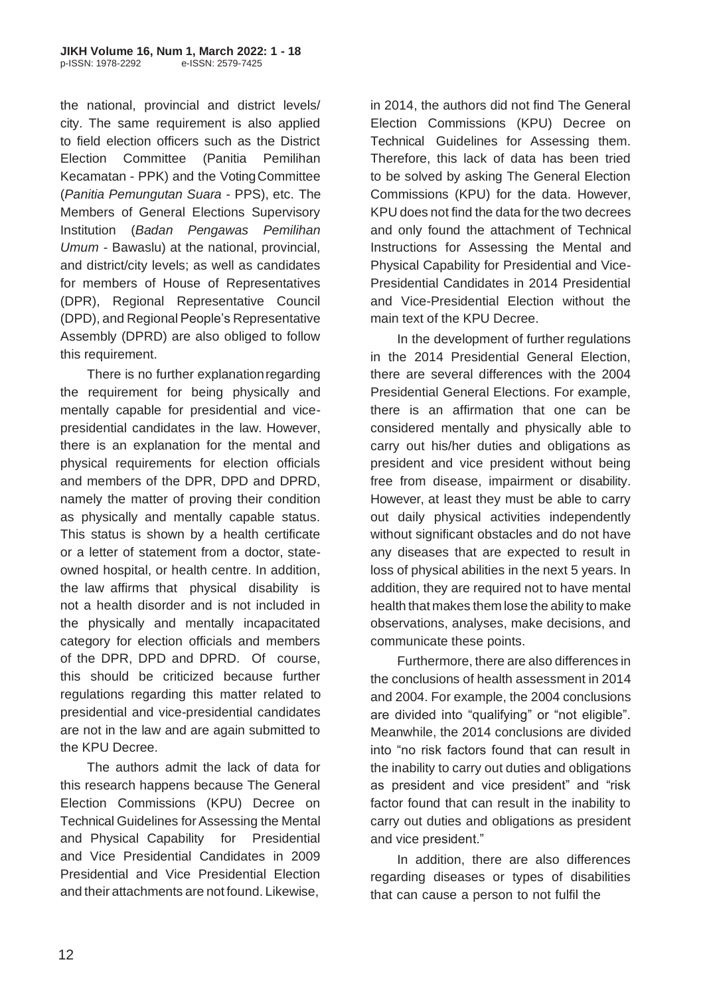the national, provincial and district levels/ city. The same requirement is also applied to field election officers such as the District Election Committee (Panitia Pemilihan Kecamatan - PPK) and the VotingCommittee (*Panitia Pemungutan Suara* - PPS), etc. The Members of General Elections Supervisory Institution (*Badan Pengawas Pemilihan Umum -* Bawaslu) at the national, provincial, and district/city levels; as well as candidates for members of House of Representatives (DPR), Regional Representative Council (DPD), and Regional People's Representative Assembly (DPRD) are also obliged to follow this requirement.

There is no further explanation regarding the requirement for being physically and mentally capable for presidential and vicepresidential candidates in the law. However, there is an explanation for the mental and physical requirements for election officials and members of the DPR, DPD and DPRD, namely the matter of proving their condition as physically and mentally capable status. This status is shown by a health certificate or a letter of statement from a doctor, stateowned hospital, or health centre. In addition, the law affirms that physical disability is not a health disorder and is not included in the physically and mentally incapacitated category for election officials and members of the DPR, DPD and DPRD. Of course, this should be criticized because further regulations regarding this matter related to presidential and vice-presidential candidates are not in the law and are again submitted to the KPU Decree.

The authors admit the lack of data for this research happens because The General Election Commissions (KPU) Decree on Technical Guidelines for Assessing the Mental and Physical Capability for Presidential and Vice Presidential Candidates in 2009 Presidential and Vice Presidential Election and their attachments are not found. Likewise,

in 2014, the authors did not find The General Election Commissions (KPU) Decree on Technical Guidelines for Assessing them. Therefore, this lack of data has been tried to be solved by asking The General Election Commissions (KPU) for the data. However, KPU does not find the data for the two decrees and only found the attachment of Technical Instructions for Assessing the Mental and Physical Capability for Presidential and Vice-Presidential Candidates in 2014 Presidential and Vice-Presidential Election without the main text of the KPU Decree.

In the development of further regulations in the 2014 Presidential General Election, there are several differences with the 2004 Presidential General Elections. For example, there is an affirmation that one can be considered mentally and physically able to carry out his/her duties and obligations as president and vice president without being free from disease, impairment or disability. However, at least they must be able to carry out daily physical activities independently without significant obstacles and do not have any diseases that are expected to result in loss of physical abilities in the next 5 years. In addition, they are required not to have mental health that makes them lose the ability to make observations, analyses, make decisions, and communicate these points.

Furthermore, there are also differences in the conclusions of health assessment in 2014 and 2004. For example, the 2004 conclusions are divided into "qualifying" or "not eligible". Meanwhile, the 2014 conclusions are divided into "no risk factors found that can result in the inability to carry out duties and obligations as president and vice president" and "risk factor found that can result in the inability to carry out duties and obligations as president and vice president."

In addition, there are also differences regarding diseases or types of disabilities that can cause a person to not fulfil the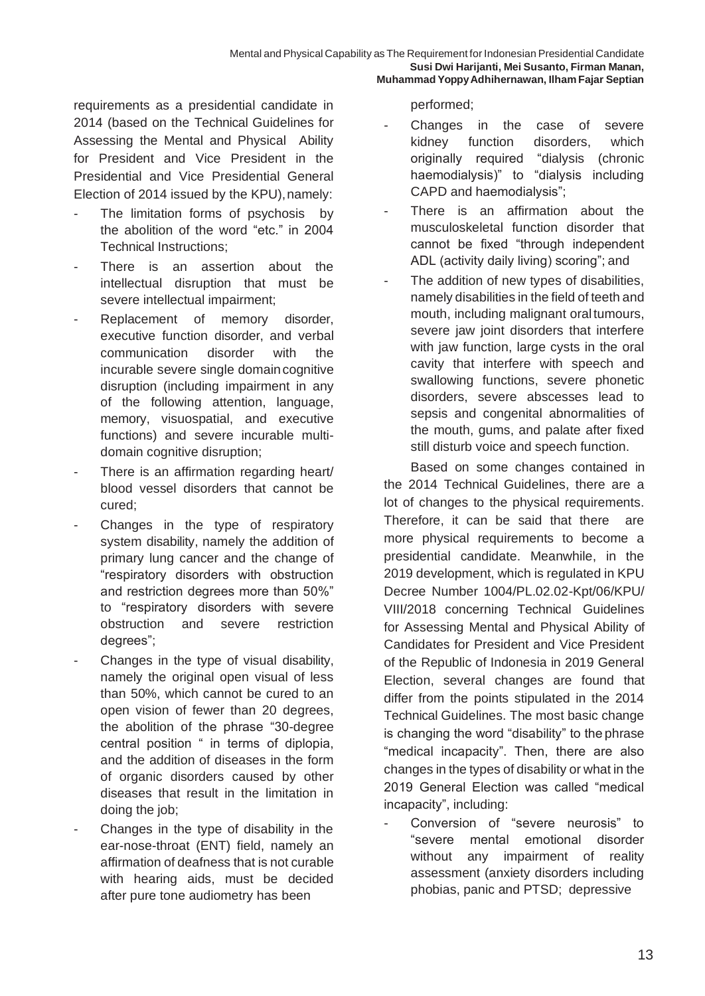requirements as a presidential candidate in 2014 (based on the Technical Guidelines for Assessing the Mental and Physical Ability for President and Vice President in the Presidential and Vice Presidential General Election of 2014 issued by the KPU), namely:

- The limitation forms of psychosis by the abolition of the word "etc." in 2004 Technical Instructions;
- There is an assertion about the intellectual disruption that must be severe intellectual impairment;
- Replacement of memory disorder, executive function disorder, and verbal communication disorder with the incurable severe single domaincognitive disruption (including impairment in any of the following attention, language, memory, visuospatial, and executive functions) and severe incurable multidomain cognitive disruption;
- There is an affirmation regarding heart/ blood vessel disorders that cannot be cured;
- Changes in the type of respiratory system disability, namely the addition of primary lung cancer and the change of "respiratory disorders with obstruction and restriction degrees more than 50%" to "respiratory disorders with severe obstruction and severe restriction degrees";
- Changes in the type of visual disability, namely the original open visual of less than 50%, which cannot be cured to an open vision of fewer than 20 degrees, the abolition of the phrase "30-degree central position " in terms of diplopia, and the addition of diseases in the form of organic disorders caused by other diseases that result in the limitation in doing the job;
- Changes in the type of disability in the ear-nose-throat (ENT) field, namely an affirmation of deafness that is not curable with hearing aids, must be decided after pure tone audiometry has been

performed;

- Changes in the case of severe kidney function disorders, which originally required "dialysis (chronic haemodialysis)" to "dialysis including CAPD and haemodialysis";
- There is an affirmation about the musculoskeletal function disorder that cannot be fixed "through independent ADL (activity daily living) scoring"; and
- The addition of new types of disabilities, namely disabilities in the field of teeth and mouth, including malignant oral tumours, severe jaw joint disorders that interfere with jaw function, large cysts in the oral cavity that interfere with speech and swallowing functions, severe phonetic disorders, severe abscesses lead to sepsis and congenital abnormalities of the mouth, gums, and palate after fixed still disturb voice and speech function.

Based on some changes contained in the 2014 Technical Guidelines, there are a lot of changes to the physical requirements. Therefore, it can be said that there are more physical requirements to become a presidential candidate. Meanwhile, in the 2019 development, which is regulated in KPU Decree Number 1004/PL.02.02-Kpt/06/KPU/ VIII/2018 concerning Technical Guidelines for Assessing Mental and Physical Ability of Candidates for President and Vice President of the Republic of Indonesia in 2019 General Election, several changes are found that differ from the points stipulated in the 2014 Technical Guidelines. The most basic change is changing the word "disability" to the phrase "medical incapacity". Then, there are also changes in the types of disability or what in the 2019 General Election was called "medical incapacity", including:

Conversion of "severe neurosis" to "severe mental emotional disorder without any impairment of reality assessment (anxiety disorders including phobias, panic and PTSD; depressive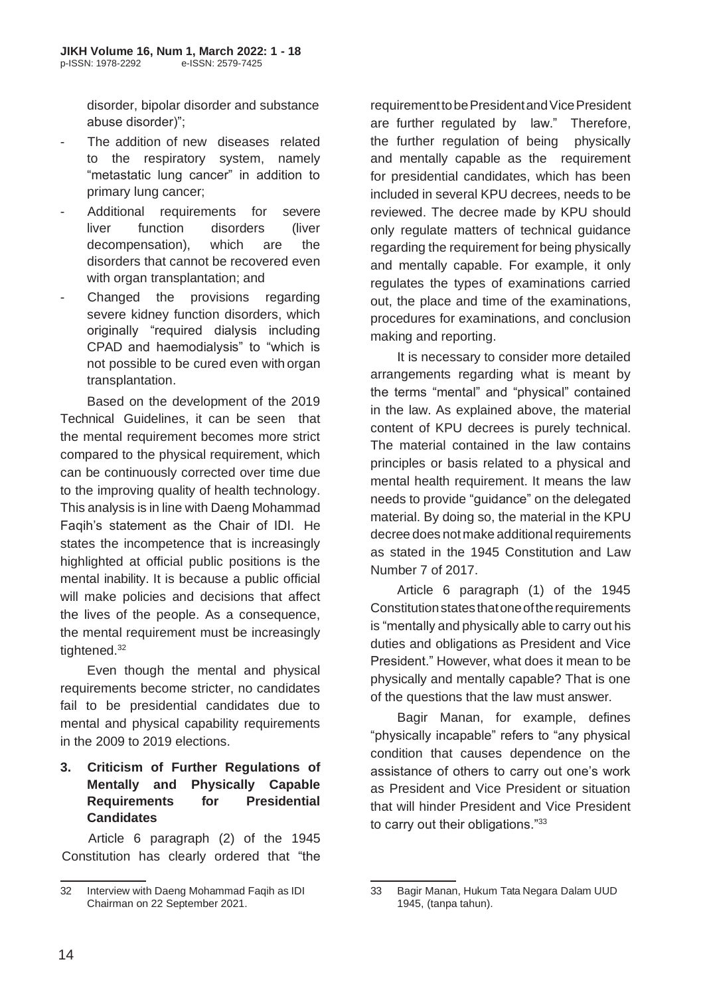disorder, bipolar disorder and substance abuse disorder)";

- The addition of new diseases related to the respiratory system, namely "metastatic lung cancer" in addition to primary lung cancer;
- Additional requirements for severe liver function disorders (liver decompensation), which are the disorders that cannot be recovered even with organ transplantation; and
- Changed the provisions regarding severe kidney function disorders, which originally "required dialysis including CPAD and haemodialysis" to "which is not possible to be cured even with organ transplantation.

Based on the development of the 2019 Technical Guidelines, it can be seen that the mental requirement becomes more strict compared to the physical requirement, which can be continuously corrected over time due to the improving quality of health technology. This analysis is in line with Daeng Mohammad Faqih's statement as the Chair of IDI. He states the incompetence that is increasingly highlighted at official public positions is the mental inability. It is because a public official will make policies and decisions that affect the lives of the people. As a consequence, the mental requirement must be increasingly tightened.<sup>32</sup>

Even though the mental and physical requirements become stricter, no candidates fail to be presidential candidates due to mental and physical capability requirements in the 2009 to 2019 elections.

### **3. Criticism of Further Regulations of Mentally and Physically Capable Requirements for Presidential Candidates**

Article 6 paragraph (2) of the 1945 Constitution has clearly ordered that "the

requirement to be President and Vice President are further regulated by law." Therefore, the further regulation of being physically and mentally capable as the requirement for presidential candidates, which has been included in several KPU decrees, needs to be reviewed. The decree made by KPU should only regulate matters of technical guidance regarding the requirement for being physically and mentally capable. For example, it only regulates the types of examinations carried out, the place and time of the examinations, procedures for examinations, and conclusion making and reporting.

It is necessary to consider more detailed arrangements regarding what is meant by the terms "mental" and "physical" contained in the law. As explained above, the material content of KPU decrees is purely technical. The material contained in the law contains principles or basis related to a physical and mental health requirement. It means the law needs to provide "guidance" on the delegated material. By doing so, the material in the KPU decree does not make additional requirements as stated in the 1945 Constitution and Law Number 7 of 2017.

Article 6 paragraph (1) of the 1945 Constitution states that one of the requirements is "mentally and physically able to carry out his duties and obligations as President and Vice President." However, what does it mean to be physically and mentally capable? That is one of the questions that the law must answer.

Bagir Manan, for example, defines "physically incapable" refers to "any physical condition that causes dependence on the assistance of others to carry out one's work as President and Vice President or situation that will hinder President and Vice President to carry out their obligations."<sup>33</sup>

<sup>32</sup> Interview with Daeng Mohammad Faqih as IDI Chairman on 22 September 2021.

<sup>33</sup> Bagir Manan, Hukum Tata Negara Dalam UUD 1945, (tanpa tahun).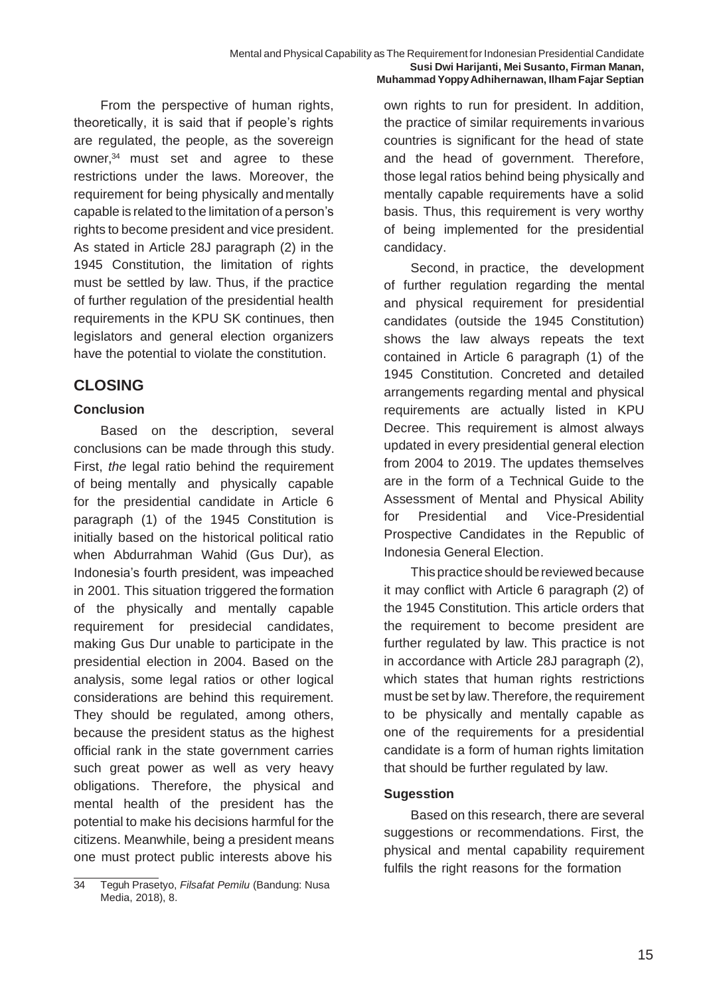From the perspective of human rights, theoretically, it is said that if people's rights are regulated, the people, as the sovereign owner, $34$  must set and agree to these restrictions under the laws. Moreover, the requirement for being physically and mentally capable is related to the limitation of a person's rights to become president and vice president. As stated in Article 28J paragraph (2) in the 1945 Constitution, the limitation of rights must be settled by law. Thus, if the practice of further regulation of the presidential health requirements in the KPU SK continues, then legislators and general election organizers have the potential to violate the constitution.

# **CLOSING**

## **Conclusion**

Based on the description, several conclusions can be made through this study. First, *the* legal ratio behind the requirement of being mentally and physically capable for the presidential candidate in Article 6 paragraph (1) of the 1945 Constitution is initially based on the historical political ratio when Abdurrahman Wahid (Gus Dur), as Indonesia's fourth president, was impeached in 2001. This situation triggered the formation of the physically and mentally capable requirement for presidecial candidates, making Gus Dur unable to participate in the presidential election in 2004. Based on the analysis, some legal ratios or other logical considerations are behind this requirement. They should be regulated, among others, because the president status as the highest official rank in the state government carries such great power as well as very heavy obligations. Therefore, the physical and mental health of the president has the potential to make his decisions harmful for the citizens. Meanwhile, being a president means one must protect public interests above his

own rights to run for president. In addition, the practice of similar requirements invarious countries is significant for the head of state and the head of government. Therefore, those legal ratios behind being physically and mentally capable requirements have a solid basis. Thus, this requirement is very worthy of being implemented for the presidential candidacy.

Second, in practice, the development of further regulation regarding the mental and physical requirement for presidential candidates (outside the 1945 Constitution) shows the law always repeats the text contained in Article 6 paragraph (1) of the 1945 Constitution. Concreted and detailed arrangements regarding mental and physical requirements are actually listed in KPU Decree. This requirement is almost always updated in every presidential general election from 2004 to 2019. The updates themselves are in the form of a Technical Guide to the Assessment of Mental and Physical Ability for Presidential and Vice-Presidential Prospective Candidates in the Republic of Indonesia General Election.

This practice should be reviewed because it may conflict with Article 6 paragraph (2) of the 1945 Constitution. This article orders that the requirement to become president are further regulated by law. This practice is not in accordance with Article 28J paragraph (2), which states that human rights restrictions must be set by law.Therefore, the requirement to be physically and mentally capable as one of the requirements for a presidential candidate is a form of human rights limitation that should be further regulated by law.

### **Sugesstion**

Based on this research, there are several suggestions or recommendations. First, the physical and mental capability requirement fulfils the right reasons for the formation

<sup>34</sup> Teguh Prasetyo, *Filsafat Pemilu* (Bandung: Nusa Media, 2018), 8.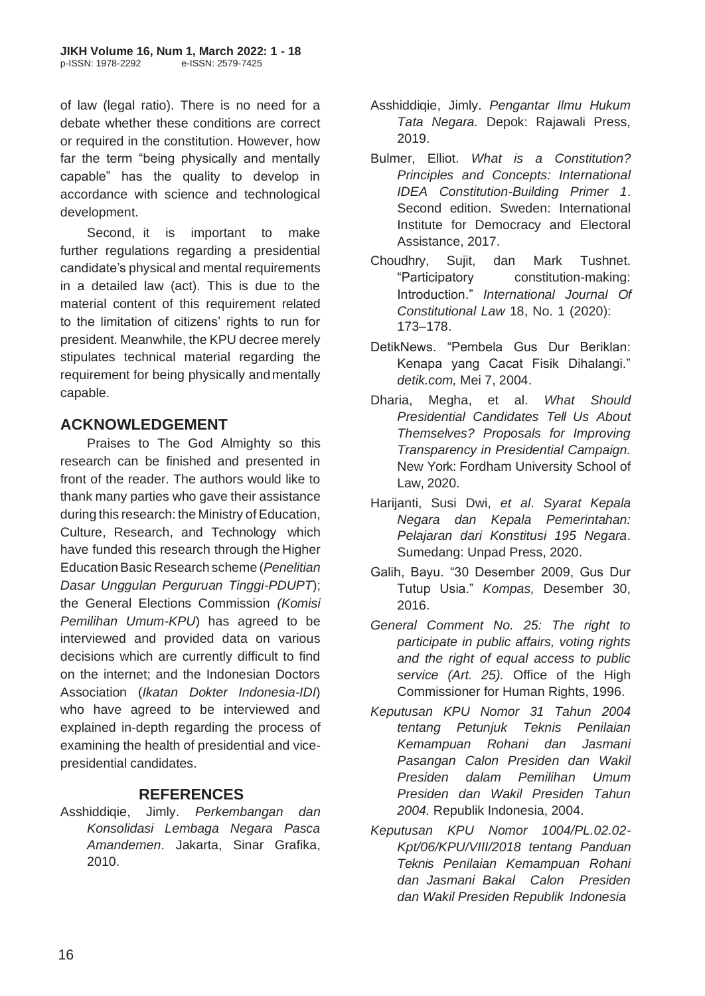of law (legal ratio). There is no need for a debate whether these conditions are correct or required in the constitution. However, how far the term "being physically and mentally capable" has the quality to develop in accordance with science and technological development.

Second, it is important to make further regulations regarding a presidential candidate's physical and mental requirements in a detailed law (act). This is due to the material content of this requirement related to the limitation of citizens' rights to run for president. Meanwhile, the KPU decree merely stipulates technical material regarding the requirement for being physically andmentally capable.

# **ACKNOWLEDGEMENT**

Praises to The God Almighty so this research can be finished and presented in front of the reader. The authors would like to thank many parties who gave their assistance during this research: the Ministry of Education, Culture, Research, and Technology which have funded this research through the Higher EducationBasic Research scheme (*Penelitian Dasar Unggulan Perguruan Tinggi-PDUPT*); the General Elections Commission *(Komisi Pemilihan Umum-KPU*) has agreed to be interviewed and provided data on various decisions which are currently difficult to find on the internet; and the Indonesian Doctors Association (*Ikatan Dokter Indonesia-IDI*) who have agreed to be interviewed and explained in-depth regarding the process of examining the health of presidential and vicepresidential candidates.

## **REFERENCES**

Asshiddiqie, Jimly. *Perkembangan dan Konsolidasi Lembaga Negara Pasca Amandemen*. Jakarta, Sinar Grafika, 2010.

- Asshiddiqie, Jimly. *Pengantar Ilmu Hukum Tata Negara.* Depok: Rajawali Press, 2019.
- Bulmer, Elliot. *What is a Constitution? Principles and Concepts: International IDEA Constitution-Building Primer 1*. Second edition. Sweden: International Institute for Democracy and Electoral Assistance, 2017.
- Choudhry, Sujit, dan Mark Tushnet. "Participatory constitution-making: Introduction." *International Journal Of Constitutional Law* 18, No. 1 (2020): 173–178.
- DetikNews. "Pembela Gus Dur Beriklan: Kenapa yang Cacat Fisik Dihalangi." *detik.com,* Mei 7, 2004.
- Dharia, Megha, et al. *What Should Presidential Candidates Tell Us About Themselves? Proposals for Improving Transparency in Presidential Campaign.*  New York: Fordham University School of Law, 2020.
- Harijanti, Susi Dwi, *et al*. *Syarat Kepala Negara dan Kepala Pemerintahan: Pelajaran dari Konstitusi 195 Negara*. Sumedang: Unpad Press, 2020.
- Galih, Bayu. "30 Desember 2009, Gus Dur Tutup Usia." *Kompas,* Desember 30, 2016.
- *General Comment No. 25: The right to participate in public affairs, voting rights and the right of equal access to public service (Art. 25).* Office of the High Commissioner for Human Rights, 1996.
- *Keputusan KPU Nomor 31 Tahun 2004 tentang Petunjuk Teknis Penilaian Kemampuan Rohani dan Jasmani Pasangan Calon Presiden dan Wakil Presiden dalam Pemilihan Umum Presiden dan Wakil Presiden Tahun 2004.* Republik Indonesia, 2004.
- *Keputusan KPU Nomor 1004/PL.02.02- Kpt/06/KPU/VIII/2018 tentang Panduan Teknis Penilaian Kemampuan Rohani dan Jasmani Bakal Calon Presiden dan Wakil Presiden Republik Indonesia*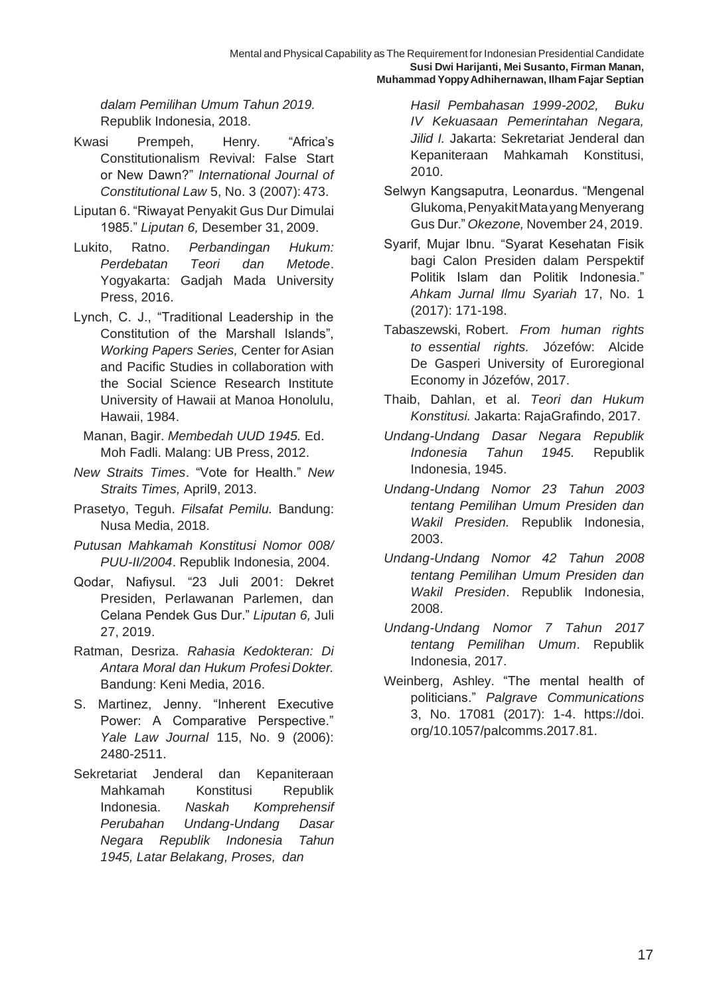*dalam Pemilihan Umum Tahun 2019.* Republik Indonesia, 2018.

- Kwasi Prempeh, Henry. "Africa's Constitutionalism Revival: False Start or New Dawn?" *International Journal of Constitutional Law* 5, No. 3 (2007): 473.
- Liputan 6. "Riwayat Penyakit Gus Dur Dimulai 1985." *Liputan 6,* Desember 31, 2009.
- Lukito, Ratno. *Perbandingan Hukum: Perdebatan Teori dan Metode*. Yogyakarta: Gadjah Mada University Press, 2016.
- Lynch, C. J., "Traditional Leadership in the Constitution of the Marshall Islands", *Working Papers Series, Center for Asian* and Pacific Studies in collaboration with the Social Science Research Institute University of Hawaii at Manoa Honolulu, Hawaii, 1984.
	- Manan, Bagir. *Membedah UUD 1945.* Ed. Moh Fadli. Malang: UB Press, 2012.
- *New Straits Times*. "Vote for Health." *New Straits Times,* April9, 2013.
- Prasetyo, Teguh. *Filsafat Pemilu.* Bandung: Nusa Media, 2018.
- *Putusan Mahkamah Konstitusi Nomor 008/ PUU-II/2004*. Republik Indonesia, 2004.
- Qodar, Nafiysul. "23 Juli 2001: Dekret Presiden, Perlawanan Parlemen, dan Celana Pendek Gus Dur." *Liputan 6,* Juli 27, 2019.
- Ratman, Desriza. *Rahasia Kedokteran: Di Antara Moral dan Hukum Profesi Dokter.*  Bandung: Keni Media, 2016.
- S. Martinez, Jenny. "Inherent Executive Power: A Comparative Perspective." *Yale Law Journal* 115, No. 9 (2006): 2480-2511.
- Sekretariat Jenderal dan Kepaniteraan Mahkamah Konstitusi Republik Indonesia. *Naskah Komprehensif Perubahan Undang-Undang Dasar Negara Republik Indonesia Tahun 1945, Latar Belakang, Proses, dan*

*Hasil Pembahasan 1999-2002, Buku IV Kekuasaan Pemerintahan Negara, Jilid I.* Jakarta: Sekretariat Jenderal dan Kepaniteraan Mahkamah Konstitusi, 2010.

- Selwyn Kangsaputra, Leonardus. "Mengenal Glukoma,PenyakitMatayangMenyerang Gus Dur." *Okezone,* November 24, 2019.
- Syarif, Mujar Ibnu. "Syarat Kesehatan Fisik bagi Calon Presiden dalam Perspektif Politik Islam dan Politik Indonesia." *Ahkam Jurnal Ilmu Syariah* 17, No. 1 (2017): 171-198.
- Tabaszewski, Robert. *From human rights to essential rights.* Józefów: Alcide De Gasperi University of Euroregional Economy in Józefów, 2017.
- Thaib, Dahlan, et al. *Teori dan Hukum Konstitusi.* Jakarta: RajaGrafindo, 2017.
- *Undang-Undang Dasar Negara Republik Indonesia Tahun 1945.* Republik Indonesia, 1945.
- *Undang-Undang Nomor 23 Tahun 2003 tentang Pemilihan Umum Presiden dan Wakil Presiden.* Republik Indonesia, 2003.
- *Undang-Undang Nomor 42 Tahun 2008 tentang Pemilihan Umum Presiden dan Wakil Presiden*. Republik Indonesia, 2008.
- *Undang-Undang Nomor 7 Tahun 2017 tentang Pemilihan Umum*. Republik Indonesia, 2017.
- Weinberg, Ashley. "The mental health of politicians." *Palgrave Communications*  3, No. 17081 (2017): 1-4. https://doi. org/10.1057/palcomms.2017.81.